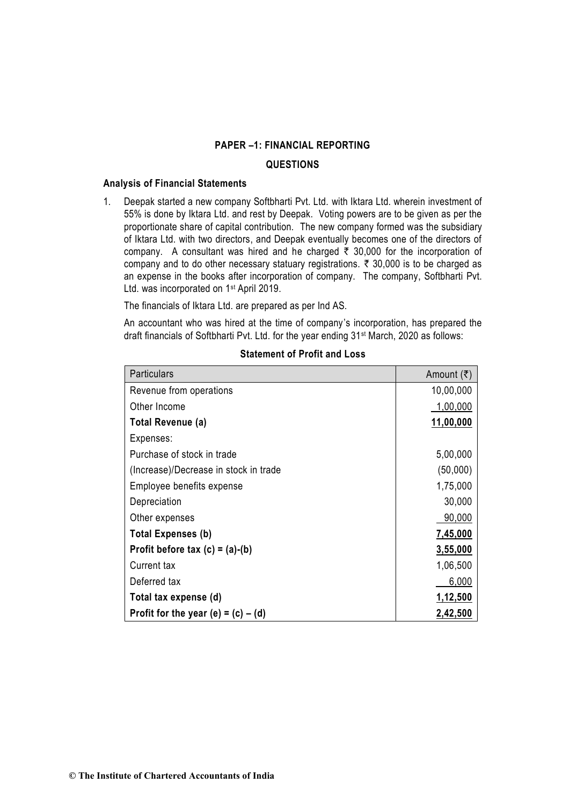## **QUESTIONS**

## **Analysis of Financial Statements**

1. Deepak started a new company Softbharti Pvt. Ltd. with Iktara Ltd. wherein investment of 55% is done by Iktara Ltd. and rest by Deepak. Voting powers are to be given as per the proportionate share of capital contribution. The new company formed was the subsidiary of Iktara Ltd. with two directors, and Deepak eventually becomes one of the directors of company. A consultant was hired and he charged  $\bar{\tau}$  30,000 for the incorporation of company and to do other necessary statuary registrations.  $\bar{\tau}$  30,000 is to be charged as an expense in the books after incorporation of company. The company, Softbharti Pvt. Ltd. was incorporated on 1st April 2019.

The financials of Iktara Ltd. are prepared as per Ind AS.

An accountant who was hired at the time of company's incorporation, has prepared the draft financials of Softbharti Pvt. Ltd. for the year ending 31st March, 2020 as follows:

| <b>Particulars</b>                    | Amount $(\bar{\tau})$ |
|---------------------------------------|-----------------------|
| Revenue from operations               | 10,00,000             |
| Other Income                          | 1,00,000              |
| <b>Total Revenue (a)</b>              | 11,00,000             |
| Expenses:                             |                       |
| Purchase of stock in trade            | 5,00,000              |
| (Increase)/Decrease in stock in trade | (50,000)              |
| Employee benefits expense             | 1,75,000              |
| Depreciation                          | 30,000                |
| Other expenses                        | 90,000                |
| <b>Total Expenses (b)</b>             | 7,45,000              |
| Profit before tax $(c) = (a)-(b)$     | 3,55,000              |
| Current tax                           | 1,06,500              |
| Deferred tax                          | 6,000                 |
| Total tax expense (d)                 | 1,12,500              |
| Profit for the year (e) = $(c) - (d)$ | 2,42,500              |

### **Statement of Profit and Loss**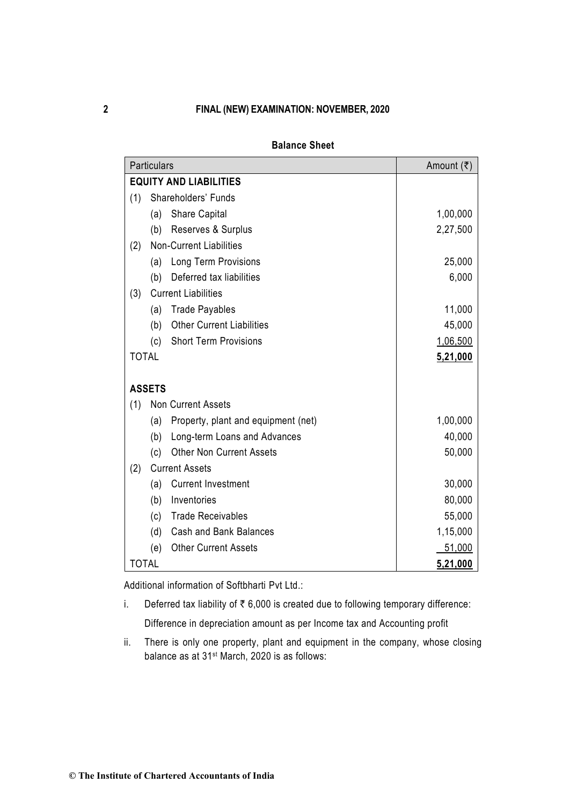|              | Particulars   |                                     | Amount (₹) |
|--------------|---------------|-------------------------------------|------------|
|              |               | <b>EQUITY AND LIABILITIES</b>       |            |
| (1)          |               | Shareholders' Funds                 |            |
|              | (a)           | <b>Share Capital</b>                | 1,00,000   |
|              | (b)           | Reserves & Surplus                  | 2,27,500   |
| (2)          |               | <b>Non-Current Liabilities</b>      |            |
|              | (a)           | Long Term Provisions                | 25,000     |
|              | (b)           | Deferred tax liabilities            | 6,000      |
| (3)          |               | <b>Current Liabilities</b>          |            |
|              | (a)           | <b>Trade Payables</b>               | 11,000     |
|              | (b)           | <b>Other Current Liabilities</b>    | 45,000     |
|              | (c)           | <b>Short Term Provisions</b>        | 1,06,500   |
| <b>TOTAL</b> |               |                                     | 5,21,000   |
|              |               |                                     |            |
|              | <b>ASSETS</b> |                                     |            |
| (1)          |               | <b>Non Current Assets</b>           |            |
|              | (a)           | Property, plant and equipment (net) | 1,00,000   |
|              | (b)           | Long-term Loans and Advances        | 40,000     |
|              | (c)           | <b>Other Non Current Assets</b>     | 50,000     |
| (2)          |               | <b>Current Assets</b>               |            |
|              | (a)           | <b>Current Investment</b>           | 30,000     |
|              | (b)           | Inventories                         | 80,000     |
|              | (c)           | <b>Trade Receivables</b>            | 55,000     |
|              | (d)           | Cash and Bank Balances              | 1,15,000   |
|              | (e)           | <b>Other Current Assets</b>         | 51,000     |
| <b>TOTAL</b> |               |                                     | 5,21,000   |

# **Balance Sheet**

Additional information of Softbharti Pvt Ltd.:

i. Deferred tax liability of  $\bar{\tau}$  6,000 is created due to following temporary difference:

Difference in depreciation amount as per Income tax and Accounting profit

ii. There is only one property, plant and equipment in the company, whose closing balance as at 31st March, 2020 is as follows: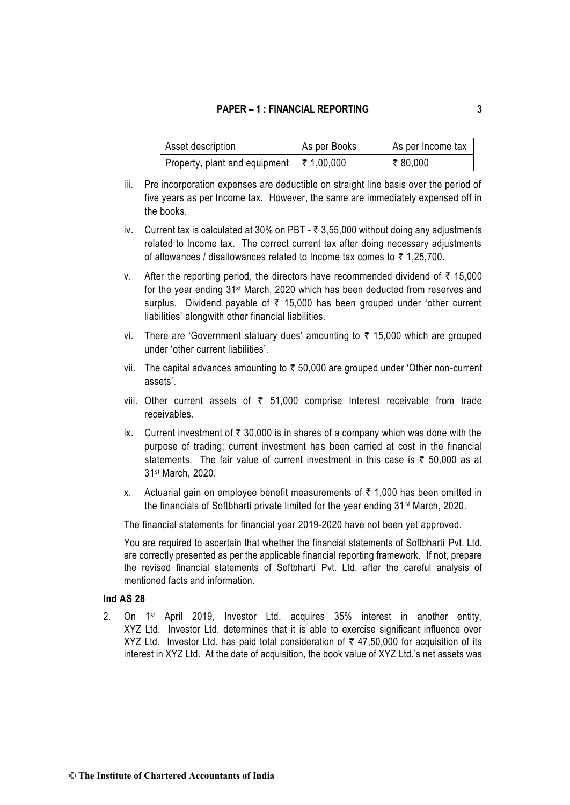| Asset description                                | As per Books | As per Income tax |
|--------------------------------------------------|--------------|-------------------|
| Property, plant and equipment $\vert$ ₹ 1,00,000 |              | $\sqrt{7}$ 80,000 |

- iii. Pre incorporation expenses are deductible on straight line basis over the period of five years as per Income tax. However, the same are immediately expensed off in the books.
- iv. Current tax is calculated at 30% on PBT  $\bar{\tau}$  3,55,000 without doing any adjustments related to Income tax. The correct current tax after doing necessary adjustments of allowances / disallowances related to Income tax comes to  $\bar{\tau}$  1,25,700.
- v. After the reporting period, the directors have recommended dividend of  $\bar{\tau}$  15,000 for the year ending 31st March, 2020 which has been deducted from reserves and surplus. Dividend payable of  $\bar{\tau}$  15,000 has been grouped under 'other current liabilities' alongwith other financial liabilities.
- vi. There are 'Government statuary dues' amounting to  $\bar{\tau}$  15,000 which are grouped under 'other current liabilities'.
- vii. The capital advances amounting to  $\bar{\tau}$  50,000 are grouped under 'Other non-current assets'.
- viii. Other current assets of  $\bar{\tau}$  51,000 comprise Interest receivable from trade receivables.
- ix. Current investment of  $\bar{\tau}$  30,000 is in shares of a company which was done with the purpose of trading; current investment has been carried at cost in the financial statements. The fair value of current investment in this case is  $\bar{\tau}$  50,000 as at 31st March, 2020.
- x. Actuarial gain on employee benefit measurements of  $\bar{\tau}$  1,000 has been omitted in the financials of Softbharti private limited for the year ending 31<sup>st</sup> March, 2020.

The financial statements for financial year 2019-2020 have not been yet approved.

You are required to ascertain that whether the financial statements of Softbharti Pvt. Ltd. are correctly presented as per the applicable financial reporting framework. If not, prepare the revised financial statements of Softbharti Pvt. Ltd. after the careful analysis of mentioned facts and information.

### **Ind AS 28**

2. On 1st April 2019, Investor Ltd. acquires 35% interest in another entity, XYZ Ltd. Investor Ltd. determines that it is able to exercise significant influence over XYZ Ltd. Investor Ltd. has paid total consideration of  $\bar{\tau}$  47,50,000 for acquisition of its interest in XYZ Ltd. At the date of acquisition, the book value of XYZ Ltd.'s net assets was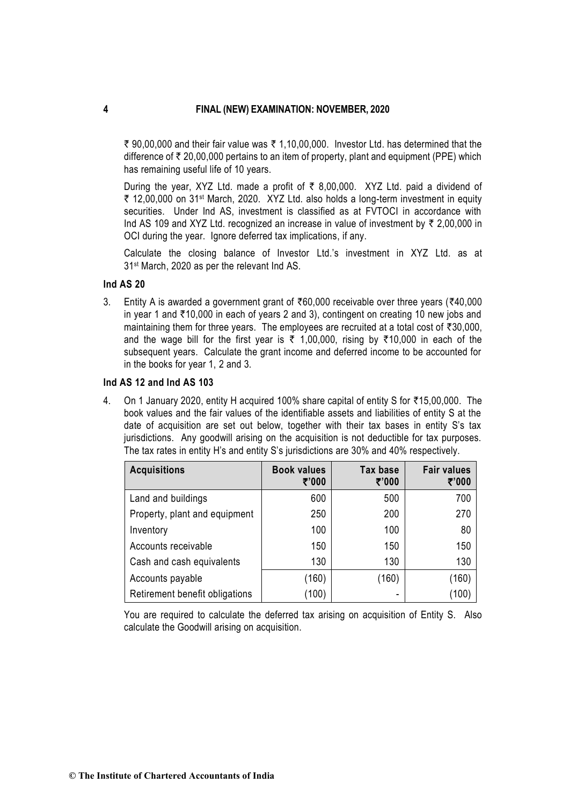$\bar{\tau}$  90,00,000 and their fair value was  $\bar{\tau}$  1,10,00,000. Investor Ltd. has determined that the difference of  $\bar{\tau}$  20,00,000 pertains to an item of property, plant and equipment (PPE) which has remaining useful life of 10 years.

During the year, XYZ Ltd. made a profit of  $\bar{\tau}$  8,00,000. XYZ Ltd. paid a dividend of  $\bar{\tau}$  12,00,000 on 31st March, 2020. XYZ Ltd. also holds a long-term investment in equity securities. Under Ind AS, investment is classified as at FVTOCI in accordance with Ind AS 109 and XYZ Ltd. recognized an increase in value of investment by  $\bar{\tau}$  2,00,000 in OCI during the year. Ignore deferred tax implications, if any.

Calculate the closing balance of Investor Ltd.'s investment in XYZ Ltd. as at 31st March, 2020 as per the relevant Ind AS.

## **Ind AS 20**

3. Entity A is awarded a government grant of  $\bar{e}60,000$  receivable over three years ( $\bar{e}40,000$ in year 1 and  $\overline{\tau}$  10,000 in each of years 2 and 3), contingent on creating 10 new jobs and maintaining them for three years. The employees are recruited at a total cost of  $\bar{\tau}30,000$ , and the wage bill for the first year is  $\overline{\zeta}$  1,00,000, rising by  $\overline{\zeta}$  10,000 in each of the subsequent years. Calculate the grant income and deferred income to be accounted for in the books for year 1, 2 and 3.

## **Ind AS 12 and Ind AS 103**

4. On 1 January 2020, entity H acquired 100% share capital of entity S for ₹15,00,000. The book values and the fair values of the identifiable assets and liabilities of entity S at the date of acquisition are set out below, together with their tax bases in entity S's tax jurisdictions. Any goodwill arising on the acquisition is not deductible for tax purposes. The tax rates in entity H's and entity S's jurisdictions are 30% and 40% respectively.

| <b>Acquisitions</b>            | <b>Book values</b><br>₹'000 | Tax base<br>₹'000 | <b>Fair values</b><br>₹'000 |
|--------------------------------|-----------------------------|-------------------|-----------------------------|
| Land and buildings             | 600                         | 500               | 700                         |
| Property, plant and equipment  | 250                         | 200               | 270                         |
| Inventory                      | 100                         | 100               | 80                          |
| Accounts receivable            | 150                         | 150               | 150                         |
| Cash and cash equivalents      | 130                         | 130               | 130                         |
| Accounts payable               | (160)                       | (160)             | (160)                       |
| Retirement benefit obligations | (100)                       |                   | (100                        |

You are required to calculate the deferred tax arising on acquisition of Entity S. Also calculate the Goodwill arising on acquisition.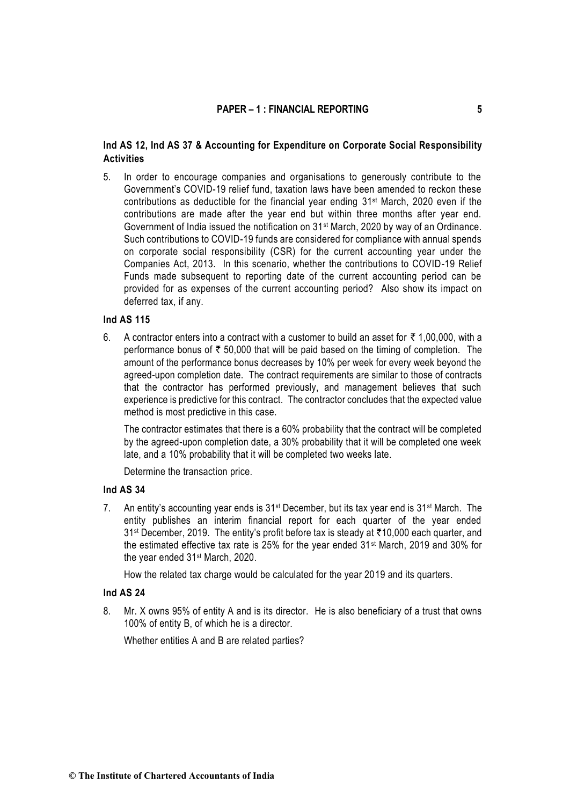## **Ind AS 12, Ind AS 37 & Accounting for Expenditure on Corporate Social Responsibility Activities**

5. In order to encourage companies and organisations to generously contribute to the Government's COVID-19 relief fund, taxation laws have been amended to reckon these contributions as deductible for the financial year ending  $31<sup>st</sup>$  March, 2020 even if the contributions are made after the year end but within three months after year end. Government of India issued the notification on 31st March, 2020 by way of an Ordinance. Such contributions to COVID-19 funds are considered for compliance with annual spends on corporate social responsibility (CSR) for the current accounting year under the Companies Act, 2013. In this scenario, whether the contributions to COVID-19 Relief Funds made subsequent to reporting date of the current accounting period can be provided for as expenses of the current accounting period? Also show its impact on deferred tax, if any.

## **Ind AS 115**

6. A contractor enters into a contract with a customer to build an asset for  $\bar{\tau}$  1,00,000, with a performance bonus of  $\bar{\tau}$  50,000 that will be paid based on the timing of completion. The amount of the performance bonus decreases by 10% per week for every week beyond the agreed-upon completion date. The contract requirements are similar to those of contracts that the contractor has performed previously, and management believes that such experience is predictive for this contract. The contractor concludes that the expected value method is most predictive in this case.

The contractor estimates that there is a 60% probability that the contract will be completed by the agreed-upon completion date, a 30% probability that it will be completed one week late, and a 10% probability that it will be completed two weeks late.

Determine the transaction price.

## **Ind AS 34**

7. An entity's accounting year ends is  $31^{st}$  December, but its tax year end is  $31^{st}$  March. The entity publishes an interim financial report for each quarter of the year ended 31<sup>st</sup> December, 2019. The entity's profit before tax is steady at ₹10,000 each quarter, and the estimated effective tax rate is 25% for the year ended 31st March, 2019 and 30% for the year ended 31st March, 2020.

How the related tax charge would be calculated for the year 2019 and its quarters.

## **Ind AS 24**

8. Mr. X owns 95% of entity A and is its director. He is also beneficiary of a trust that owns 100% of entity B, of which he is a director.

Whether entities A and B are related parties?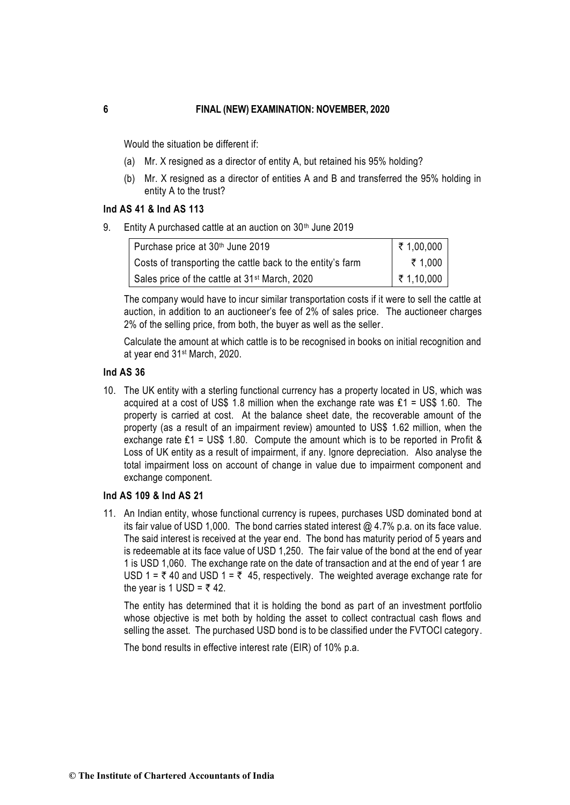Would the situation be different if:

- (a) Mr. X resigned as a director of entity A, but retained his 95% holding?
- (b) Mr. X resigned as a director of entities A and B and transferred the 95% holding in entity A to the trust?

### **Ind AS 41 & Ind AS 113**

9. Entity A purchased cattle at an auction on 30<sup>th</sup> June 2019

| Purchase price at 30 <sup>th</sup> June 2019               | ₹ 1,00,000               |
|------------------------------------------------------------|--------------------------|
| Costs of transporting the cattle back to the entity's farm | ₹ 1.000                  |
| Sales price of the cattle at 31 <sup>st</sup> March, 2020  | $\frac{1}{2}$ ₹ 1,10,000 |

The company would have to incur similar transportation costs if it were to sell the cattle at auction, in addition to an auctioneer's fee of 2% of sales price. The auctioneer charges 2% of the selling price, from both, the buyer as well as the seller.

Calculate the amount at which cattle is to be recognised in books on initial recognition and at year end 31st March, 2020.

## **Ind AS 36**

10. The UK entity with a sterling functional currency has a property located in US, which was acquired at a cost of US\$ 1.8 million when the exchange rate was  $£1 = US$$  1.60. The property is carried at cost. At the balance sheet date, the recoverable amount of the property (as a result of an impairment review) amounted to US\$ 1.62 million, when the exchange rate ₤1 = US\$ 1.80. Compute the amount which is to be reported in Profit & Loss of UK entity as a result of impairment, if any. Ignore depreciation. Also analyse the total impairment loss on account of change in value due to impairment component and exchange component.

### **Ind AS 109 & Ind AS 21**

11. An Indian entity, whose functional currency is rupees, purchases USD dominated bond at its fair value of USD 1,000. The bond carries stated interest @ 4.7% p.a. on its face value. The said interest is received at the year end. The bond has maturity period of 5 years and is redeemable at its face value of USD 1,250. The fair value of the bond at the end of year 1 is USD 1,060. The exchange rate on the date of transaction and at the end of year 1 are USD 1 =  $\overline{\tau}$  40 and USD 1 =  $\overline{\tau}$  45, respectively. The weighted average exchange rate for the year is 1 USD =  $\overline{z}$  42.

The entity has determined that it is holding the bond as part of an investment portfolio whose objective is met both by holding the asset to collect contractual cash flows and selling the asset. The purchased USD bond is to be classified under the FVTOCI category.

The bond results in effective interest rate (EIR) of 10% p.a.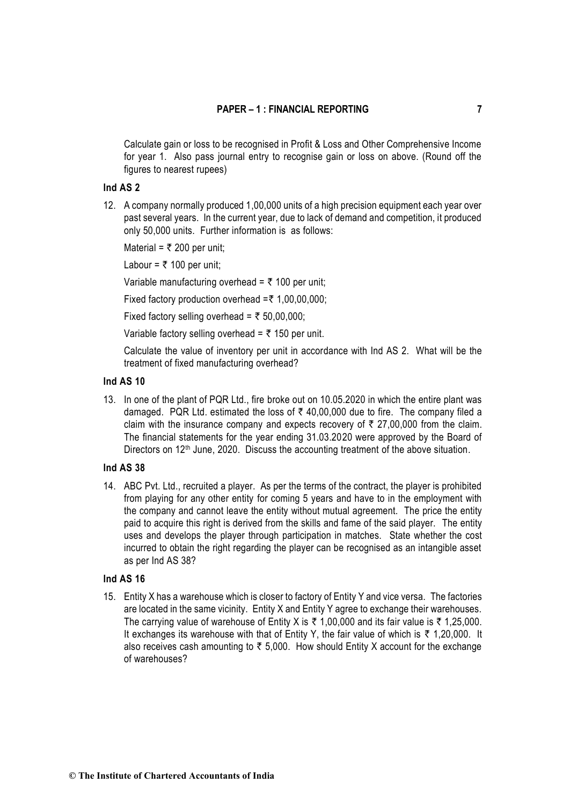Calculate gain or loss to be recognised in Profit & Loss and Other Comprehensive Income for year 1. Also pass journal entry to recognise gain or loss on above. (Round off the figures to nearest rupees)

### **Ind AS 2**

12. A company normally produced 1,00,000 units of a high precision equipment each year over past several years. In the current year, due to lack of demand and competition, it produced only 50,000 units. Further information is as follows:

Material =  $\overline{\xi}$  200 per unit;

Labour =  $\overline{\tau}$  100 per unit;

Variable manufacturing overhead =  $\bar{\tau}$  100 per unit;

Fixed factory production overhead  $=\bar{\tau}$  1,00,00,000;

Fixed factory selling overhead =  $\overline{\xi}$  50,00,000;

Variable factory selling overhead =  $\bar{\tau}$  150 per unit.

Calculate the value of inventory per unit in accordance with Ind AS 2. What will be the treatment of fixed manufacturing overhead?

### **Ind AS 10**

13. In one of the plant of PQR Ltd., fire broke out on 10.05.2020 in which the entire plant was damaged. PQR Ltd. estimated the loss of  $\bar{\tau}$  40,00,000 due to fire. The company filed a claim with the insurance company and expects recovery of  $\bar{\tau}$  27,00,000 from the claim. The financial statements for the year ending 31.03.2020 were approved by the Board of Directors on 12<sup>th</sup> June, 2020. Discuss the accounting treatment of the above situation.

### **Ind AS 38**

14. ABC Pvt. Ltd., recruited a player. As per the terms of the contract, the player is prohibited from playing for any other entity for coming 5 years and have to in the employment with the company and cannot leave the entity without mutual agreement. The price the entity paid to acquire this right is derived from the skills and fame of the said player. The entity uses and develops the player through participation in matches. State whether the cost incurred to obtain the right regarding the player can be recognised as an intangible asset as per Ind AS 38?

### **Ind AS 16**

15. Entity X has a warehouse which is closer to factory of Entity Y and vice versa. The factories are located in the same vicinity. Entity X and Entity Y agree to exchange their warehouses. The carrying value of warehouse of Entity X is  $\bar{\tau}$  1,00,000 and its fair value is  $\bar{\tau}$  1,25,000. It exchanges its warehouse with that of Entity Y, the fair value of which is  $\bar{\tau}$  1,20,000. It also receives cash amounting to  $\bar{\tau}$  5,000. How should Entity X account for the exchange of warehouses?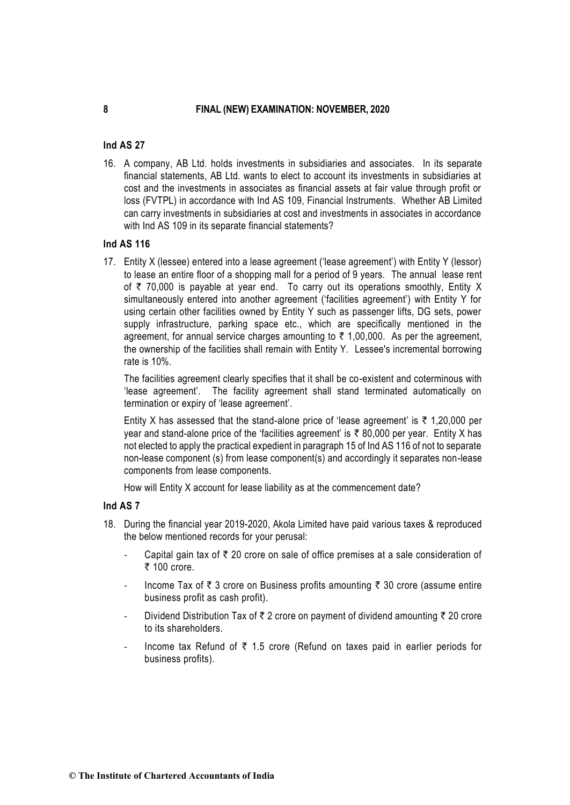### **Ind AS 27**

16. A company, AB Ltd. holds investments in subsidiaries and associates. In its separate financial statements, AB Ltd. wants to elect to account its investments in subsidiaries at cost and the investments in associates as financial assets at fair value through profit or loss (FVTPL) in accordance with Ind AS 109, Financial Instruments. Whether AB Limited can carry investments in subsidiaries at cost and investments in associates in accordance with Ind AS 109 in its separate financial statements?

## **Ind AS 116**

17. Entity X (lessee) entered into a lease agreement ('lease agreement') with Entity Y (lessor) to lease an entire floor of a shopping mall for a period of 9 years. The annual lease rent of  $\bar{\tau}$  70,000 is payable at year end. To carry out its operations smoothly, Entity X simultaneously entered into another agreement ('facilities agreement') with Entity Y for using certain other facilities owned by Entity Y such as passenger lifts, DG sets, power supply infrastructure, parking space etc., which are specifically mentioned in the agreement, for annual service charges amounting to  $\bar{\tau}$  1,00,000. As per the agreement, the ownership of the facilities shall remain with Entity Y. Lessee's incremental borrowing rate is 10%.

The facilities agreement clearly specifies that it shall be co-existent and coterminous with 'lease agreement'. The facility agreement shall stand terminated automatically on termination or expiry of 'lease agreement'.

Entity X has assessed that the stand-alone price of 'lease agreement' is  $\bar{\tau}$  1,20,000 per year and stand-alone price of the 'facilities agreement' is  $\bar{\tau}$  80,000 per year. Entity X has not elected to apply the practical expedient in paragraph 15 of Ind AS 116 of not to separate non-lease component (s) from lease component(s) and accordingly it separates non-lease components from lease components.

How will Entity X account for lease liability as at the commencement date?

## **Ind AS 7**

- 18. During the financial year 2019-2020, Akola Limited have paid various taxes & reproduced the below mentioned records for your perusal:
	- Capital gain tax of  $\bar{\tau}$  20 crore on sale of office premises at a sale consideration of  $\bar{\tau}$  100 crore.
	- Income Tax of  $\bar{\tau}$  3 crore on Business profits amounting  $\bar{\tau}$  30 crore (assume entire business profit as cash profit).
	- Dividend Distribution Tax of  $\bar{\tau}$  2 crore on payment of dividend amounting  $\bar{\tau}$  20 crore to its shareholders.
	- Income tax Refund of  $\bar{\tau}$  1.5 crore (Refund on taxes paid in earlier periods for business profits).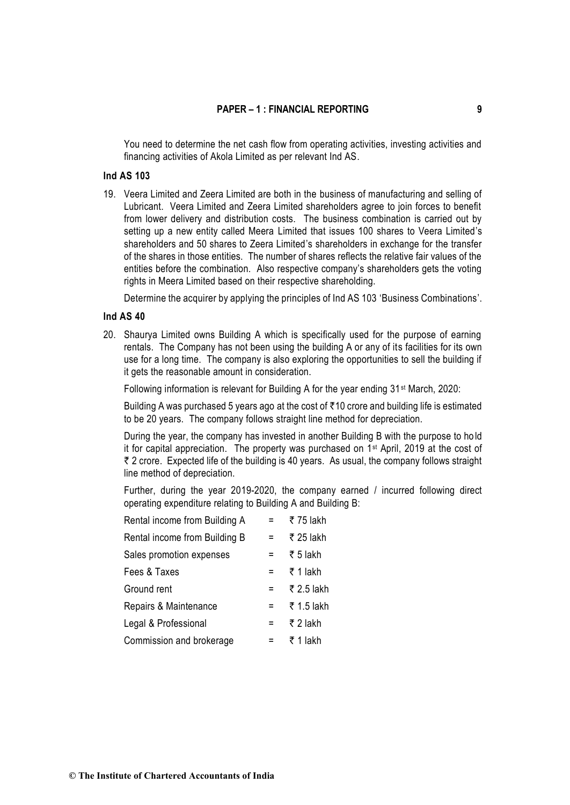You need to determine the net cash flow from operating activities, investing activities and financing activities of Akola Limited as per relevant Ind AS.

## **Ind AS 103**

19. Veera Limited and Zeera Limited are both in the business of manufacturing and selling of Lubricant. Veera Limited and Zeera Limited shareholders agree to join forces to benefit from lower delivery and distribution costs. The business combination is carried out by setting up a new entity called Meera Limited that issues 100 shares to Veera Limited's shareholders and 50 shares to Zeera Limited's shareholders in exchange for the transfer of the shares in those entities. The number of shares reflects the relative fair values of the entities before the combination. Also respective company's shareholders gets the voting rights in Meera Limited based on their respective shareholding.

Determine the acquirer by applying the principles of Ind AS 103 'Business Combinations'.

### **Ind AS 40**

20. Shaurya Limited owns Building A which is specifically used for the purpose of earning rentals. The Company has not been using the building A or any of its facilities for its own use for a long time. The company is also exploring the opportunities to sell the building if it gets the reasonable amount in consideration.

Following information is relevant for Building A for the year ending 31<sup>st</sup> March, 2020:

Building A was purchased 5 years ago at the cost of  $\bar{\tau}$  10 crore and building life is estimated to be 20 years. The company follows straight line method for depreciation.

During the year, the company has invested in another Building B with the purpose to ho ld it for capital appreciation. The property was purchased on 1st April, 2019 at the cost of  $\bar{\tau}$  2 crore. Expected life of the building is 40 years. As usual, the company follows straight line method of depreciation.

Further, during the year 2019-2020, the company earned / incurred following direct operating expenditure relating to Building A and Building B:

| Rental income from Building A | Ξ.  | ₹ 75 lakh  |
|-------------------------------|-----|------------|
| Rental income from Building B | Ξ.  | ₹ 25 lakh  |
| Sales promotion expenses      | Ξ   | ₹ 5 lakh   |
| Fees & Taxes                  | $=$ | ₹ 1 lakh   |
| Ground rent                   | Ξ.  | ₹ 2.5 lakh |
| Repairs & Maintenance         | Ξ.  | ₹ 1.5 lakh |
| Legal & Professional          | Ξ.  | ₹ 2 lakh   |
| Commission and brokerage      |     | ₹ 1 lakh   |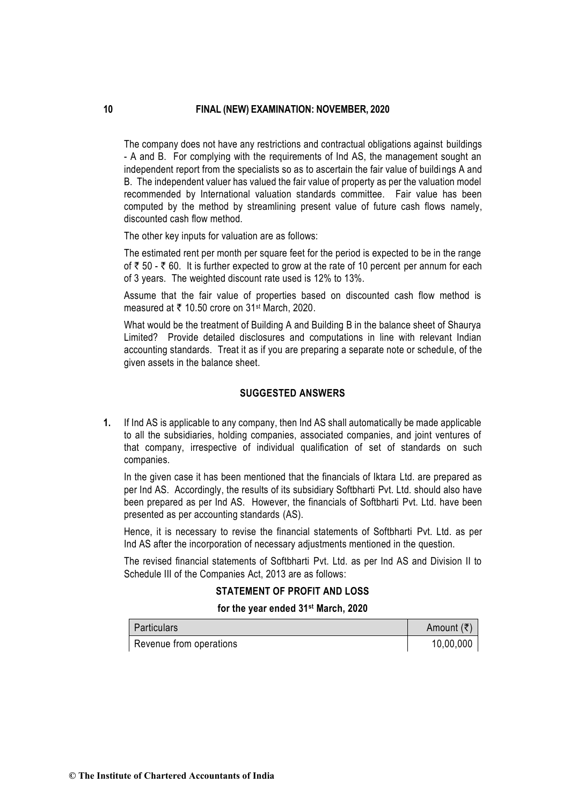The company does not have any restrictions and contractual obligations against buildings - A and B. For complying with the requirements of Ind AS, the management sought an independent report from the specialists so as to ascertain the fair value of buildings A and B. The independent valuer has valued the fair value of property as per the valuation model recommended by International valuation standards committee. Fair value has been computed by the method by streamlining present value of future cash flows namely, discounted cash flow method.

The other key inputs for valuation are as follows:

The estimated rent per month per square feet for the period is expected to be in the range of  $\bar{\tau}$  50 -  $\bar{\tau}$  60. It is further expected to grow at the rate of 10 percent per annum for each of 3 years. The weighted discount rate used is 12% to 13%.

Assume that the fair value of properties based on discounted cash flow method is measured at ₹ 10.50 crore on 31<sup>st</sup> March, 2020.

What would be the treatment of Building A and Building B in the balance sheet of Shaurya Limited? Provide detailed disclosures and computations in line with relevant Indian accounting standards. Treat it as if you are preparing a separate note or schedule, of the given assets in the balance sheet.

## **SUGGESTED ANSWERS**

**1.** If Ind AS is applicable to any company, then Ind AS shall automatically be made applicable to all the subsidiaries, holding companies, associated companies, and joint ventures of that company, irrespective of individual qualification of set of standards on such companies.

In the given case it has been mentioned that the financials of Iktara Ltd. are prepared as per Ind AS. Accordingly, the results of its subsidiary Softbharti Pvt. Ltd. should also have been prepared as per Ind AS. However, the financials of Softbharti Pvt. Ltd. have been presented as per accounting standards (AS).

Hence, it is necessary to revise the financial statements of Softbharti Pvt. Ltd. as per Ind AS after the incorporation of necessary adjustments mentioned in the question.

The revised financial statements of Softbharti Pvt. Ltd. as per Ind AS and Division II to Schedule III of the Companies Act, 2013 are as follows:

## **STATEMENT OF PROFIT AND LOSS**

#### **for the year ended 31st March, 2020**

| Particulars             | Amount $(\bar{\tau})$ |
|-------------------------|-----------------------|
| Revenue from operations | 10,00,000             |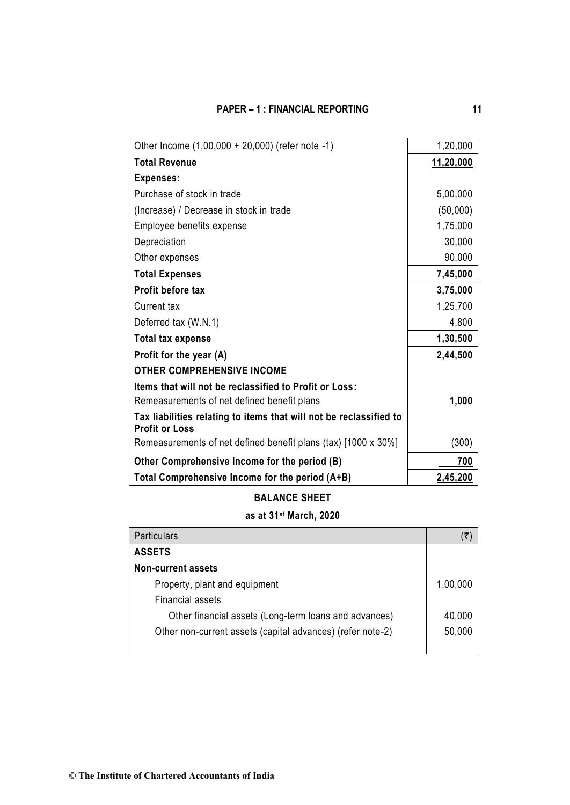| Other Income (1,00,000 + 20,000) (refer note -1)                                            | 1,20,000  |
|---------------------------------------------------------------------------------------------|-----------|
| <b>Total Revenue</b>                                                                        | 11,20,000 |
| <b>Expenses:</b>                                                                            |           |
| Purchase of stock in trade                                                                  | 5,00,000  |
| (Increase) / Decrease in stock in trade                                                     | (50,000)  |
| Employee benefits expense                                                                   | 1,75,000  |
| Depreciation                                                                                | 30,000    |
| Other expenses                                                                              | 90,000    |
| <b>Total Expenses</b>                                                                       | 7,45,000  |
| <b>Profit before tax</b>                                                                    | 3,75,000  |
| Current tax                                                                                 | 1,25,700  |
| Deferred tax (W.N.1)                                                                        | 4,800     |
| <b>Total tax expense</b>                                                                    | 1,30,500  |
| Profit for the year (A)                                                                     | 2,44,500  |
| <b>OTHER COMPREHENSIVE INCOME</b>                                                           |           |
| Items that will not be reclassified to Profit or Loss:                                      |           |
| Remeasurements of net defined benefit plans                                                 | 1,000     |
| Tax liabilities relating to items that will not be reclassified to<br><b>Profit or Loss</b> |           |
| Remeasurements of net defined benefit plans (tax) [1000 x 30%]                              | (300)     |
| Other Comprehensive Income for the period (B)                                               | 700       |
| Total Comprehensive Income for the period (A+B)                                             | 2,45,200  |

# **BALANCE SHEET**

# **as at 31st March, 2020**

| <b>Particulars</b>                                         |          |
|------------------------------------------------------------|----------|
| <b>ASSETS</b>                                              |          |
| <b>Non-current assets</b>                                  |          |
| Property, plant and equipment                              | 1,00,000 |
| Financial assets                                           |          |
| Other financial assets (Long-term loans and advances)      | 40,000   |
| Other non-current assets (capital advances) (refer note-2) | 50,000   |
|                                                            |          |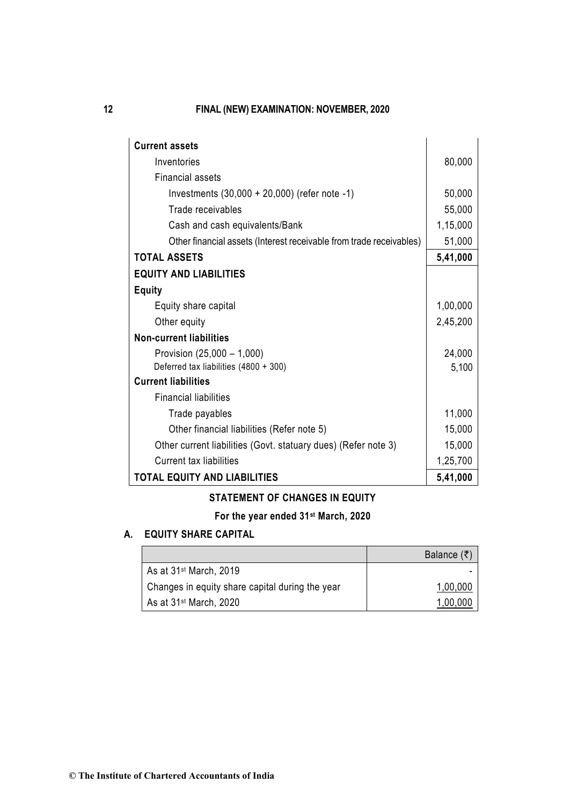| <b>Current assets</b>                                               |          |
|---------------------------------------------------------------------|----------|
| Inventories                                                         | 80,000   |
| <b>Financial assets</b>                                             |          |
| Investments $(30,000 + 20,000)$ (refer note -1)                     | 50,000   |
| Trade receivables                                                   | 55,000   |
| Cash and cash equivalents/Bank                                      | 1,15,000 |
| Other financial assets (Interest receivable from trade receivables) | 51,000   |
| <b>TOTAL ASSETS</b>                                                 | 5,41,000 |
| <b>EQUITY AND LIABILITIES</b>                                       |          |
| <b>Equity</b>                                                       |          |
| Equity share capital                                                | 1,00,000 |
| Other equity                                                        | 2,45,200 |
| <b>Non-current liabilities</b>                                      |          |
| Provision (25,000 - 1,000)                                          | 24,000   |
| Deferred tax liabilities (4800 + 300)                               | 5,100    |
| <b>Current liabilities</b>                                          |          |
| <b>Financial liabilities</b>                                        |          |
| Trade payables                                                      | 11,000   |
| Other financial liabilities (Refer note 5)                          | 15,000   |
| Other current liabilities (Govt. statuary dues) (Refer note 3)      | 15,000   |
| <b>Current tax liabilities</b>                                      | 1,25,700 |
| <b>TOTAL EQUITY AND LIABILITIES</b>                                 | 5,41,000 |

# **STATEMENT OF CHANGES IN EQUITY**

# **For the year ended 31st March, 2020**

# **A. EQUITY SHARE CAPITAL**

|                                                 | Balance $(\bar{\tau})$ |
|-------------------------------------------------|------------------------|
| As at 31 <sup>st</sup> March, 2019              |                        |
| Changes in equity share capital during the year | 1,00,000               |
| As at 31 <sup>st</sup> March, 2020              | 1,00,000               |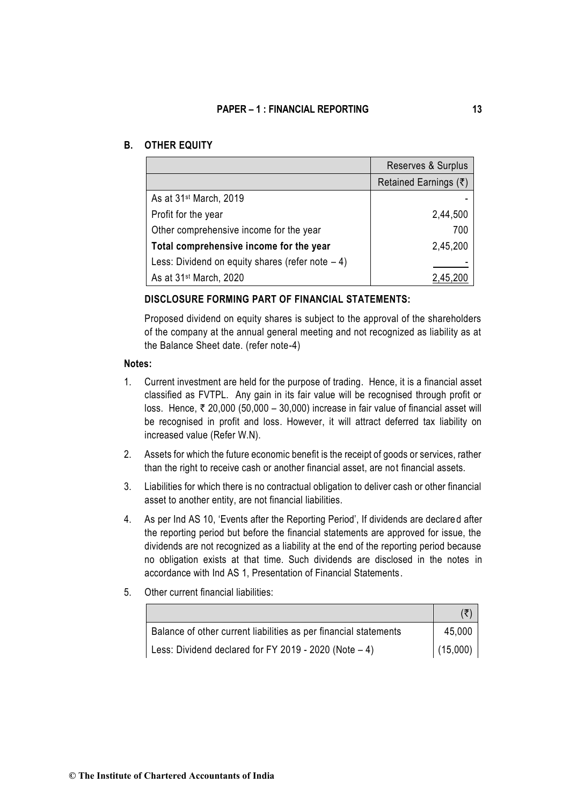## **B. OTHER EQUITY**

|                                                    | Reserves & Surplus      |
|----------------------------------------------------|-------------------------|
|                                                    | Retained Earnings $(3)$ |
| As at 31 <sup>st</sup> March, 2019                 |                         |
| Profit for the year                                | 2,44,500                |
| Other comprehensive income for the year            | 700                     |
| Total comprehensive income for the year            | 2,45,200                |
| Less: Dividend on equity shares (refer note $-4$ ) |                         |
| As at 31 <sup>st</sup> March, 2020                 |                         |

## **DISCLOSURE FORMING PART OF FINANCIAL STATEMENTS:**

Proposed dividend on equity shares is subject to the approval of the shareholders of the company at the annual general meeting and not recognized as liability as at the Balance Sheet date. (refer note-4)

## **Notes:**

- 1. Current investment are held for the purpose of trading. Hence, it is a financial asset classified as FVTPL. Any gain in its fair value will be recognised through profit or loss. Hence,  $\bar{\tau}$  20,000 (50,000 – 30,000) increase in fair value of financial asset will be recognised in profit and loss. However, it will attract deferred tax liability on increased value (Refer W.N).
- 2. Assets for which the future economic benefit is the receipt of goods or services, rather than the right to receive cash or another financial asset, are not financial assets.
- 3. Liabilities for which there is no contractual obligation to deliver cash or other financial asset to another entity, are not financial liabilities.
- 4. As per Ind AS 10, 'Events after the Reporting Period', If dividends are declare d after the reporting period but before the financial statements are approved for issue, the dividends are not recognized as a liability at the end of the reporting period because no obligation exists at that time. Such dividends are disclosed in the notes in accordance with Ind AS 1, Presentation of Financial Statements.
- 5. Other current financial liabilities:

| Balance of other current liabilities as per financial statements | 45,000   |
|------------------------------------------------------------------|----------|
| Less: Dividend declared for FY 2019 - 2020 (Note $-4$ )          | (15,000) |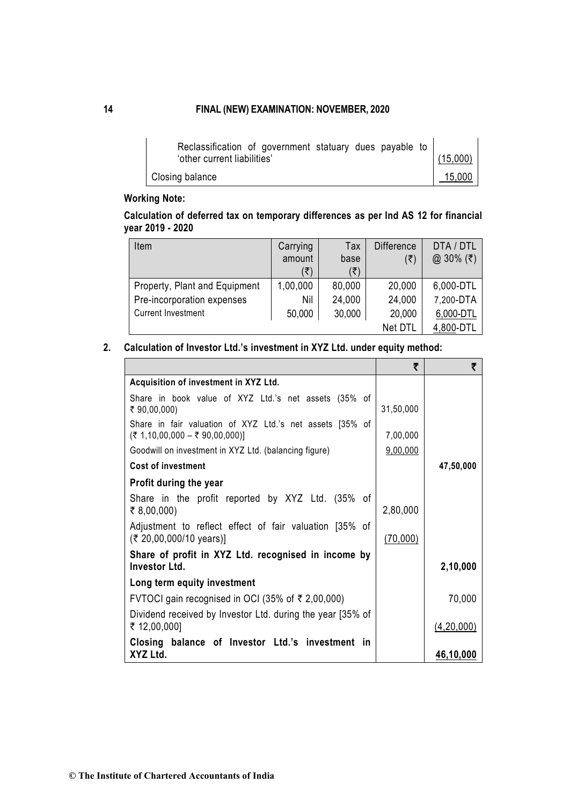| Reclassification of government statuary dues payable to |          |
|---------------------------------------------------------|----------|
| 'other current liabilities'                             | (15,000) |
| Closing balance                                         | 15,000   |

# **Working Note:**

# **Calculation of deferred tax on temporary differences as per Ind AS 12 for financial year 2019 - 2020**

| Item                          | Carrying | Tax    | <b>Difference</b> | DTA / DTL |
|-------------------------------|----------|--------|-------------------|-----------|
|                               | amount   | base   | (₹)               | @ 30% (₹) |
|                               | ′₹)      | ′₹)    |                   |           |
| Property, Plant and Equipment | 1,00,000 | 80,000 | 20,000            | 6,000-DTL |
| Pre-incorporation expenses    | Nil      | 24,000 | 24,000            | 7,200-DTA |
| <b>Current Investment</b>     | 50,000   | 30,000 | 20,000            | 6,000-DTL |
|                               |          |        | Net DTL           | 4,800-DTL |

## **2. Calculation of Investor Ltd.'s investment in XYZ Ltd. under equity method:**

| Acquisition of investment in XYZ Ltd.                                                         |           |            |
|-----------------------------------------------------------------------------------------------|-----------|------------|
| Share in book value of XYZ Ltd.'s net assets (35% of<br>₹ 90,00,000)                          | 31,50,000 |            |
| Share in fair valuation of XYZ Ltd.'s net assets [35% of<br>$($ ₹ 1,10,00,000 – ₹ 90,00,000)] | 7,00,000  |            |
| Goodwill on investment in XYZ Ltd. (balancing figure)                                         | 9,00,000  |            |
| <b>Cost of investment</b>                                                                     |           | 47,50,000  |
| Profit during the year                                                                        |           |            |
| Share in the profit reported by XYZ Ltd. (35% of<br>₹ 8,00,000)                               | 2,80,000  |            |
| Adjustment to reflect effect of fair valuation [35% of<br>(₹ 20,00,000/10 years)]             | (70,000)  |            |
| Share of profit in XYZ Ltd. recognised in income by<br><b>Investor Ltd.</b>                   |           | 2,10,000   |
| Long term equity investment                                                                   |           |            |
| FVTOCI gain recognised in OCI (35% of ₹ 2,00,000)                                             |           | 70,000     |
| Dividend received by Investor Ltd. during the year [35% of<br>₹ 12,00,000]                    |           | (4,20,000) |
| Closing balance of Investor Ltd.'s investment in<br>XYZ Ltd.                                  |           | 46,10,000  |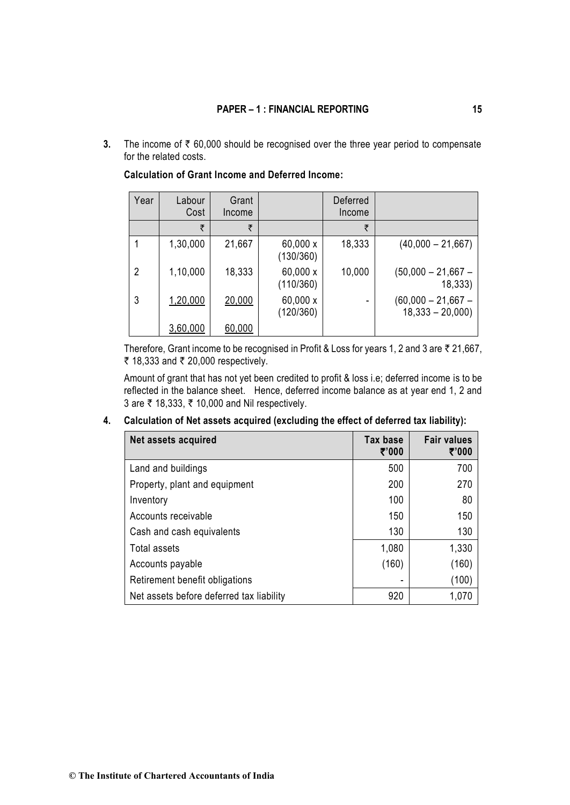**3.** The income of  $\bar{\tau}$  60,000 should be recognised over the three year period to compensate for the related costs.

| Year | Labour<br>Cost | Grant<br>Income |                       | Deferred<br>Income |                                           |
|------|----------------|-----------------|-----------------------|--------------------|-------------------------------------------|
|      | ₹              | ₹               |                       | ₹                  |                                           |
|      | 1,30,000       | 21,667          | 60,000 x<br>(130/360) | 18,333             | $(40,000 - 21,667)$                       |
| 2    | 1,10,000       | 18,333          | 60,000 x<br>(110/360) | 10,000             | $(50,000 - 21,667 -$<br>18,333)           |
| 3    | 1,20,000       | 20,000          | 60,000 x<br>(120/360) |                    | $(60,000 - 21,667 -$<br>$18,333 - 20,000$ |
|      | 3,60,000       | 60,000          |                       |                    |                                           |

**Calculation of Grant Income and Deferred Income:**

Therefore, Grant income to be recognised in Profit & Loss for years 1, 2 and 3 are  $\bar{\tau}$  21,667, ₹ 18,333 and ₹ 20,000 respectively.

Amount of grant that has not yet been credited to profit & loss i.e; deferred income is to be reflected in the balance sheet. Hence, deferred income balance as at year end 1, 2 and 3 are ₹ 18,333, ₹ 10,000 and Nil respectively.

| Net assets acquired                      | Tax base<br>₹'000 | <b>Fair values</b><br>₹'000 |
|------------------------------------------|-------------------|-----------------------------|
| Land and buildings                       | 500               | 700                         |
| Property, plant and equipment            | 200               | 270                         |
| Inventory                                | 100               | 80                          |
| Accounts receivable                      | 150               | 150                         |
| Cash and cash equivalents                | 130               | 130                         |
| Total assets                             | 1,080             | 1,330                       |
| Accounts payable                         | (160)             | (160)                       |
| Retirement benefit obligations           |                   | (100)                       |
| Net assets before deferred tax liability | 920               | 1,070                       |

## **4. Calculation of Net assets acquired (excluding the effect of deferred tax liability):**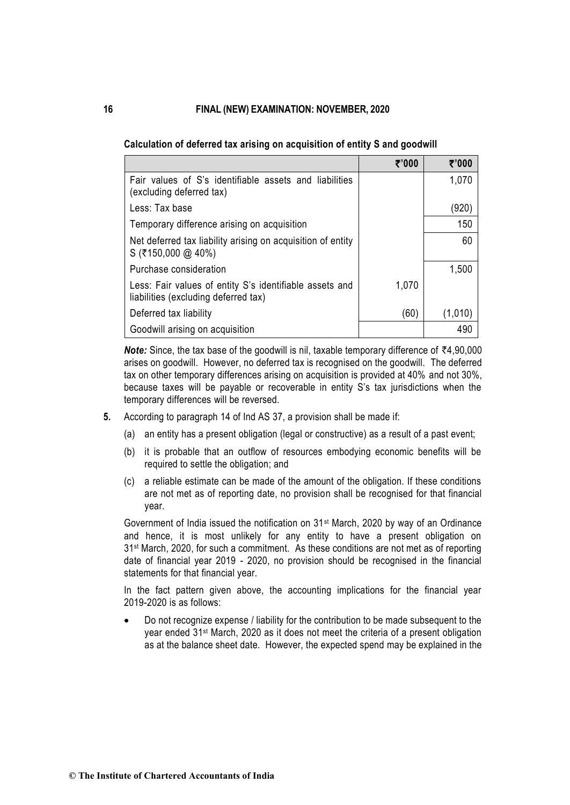|                                                                                                 | ₹'000 | ₹'000   |
|-------------------------------------------------------------------------------------------------|-------|---------|
| Fair values of S's identifiable assets and liabilities<br>(excluding deferred tax)              |       | 1,070   |
| Less: Tax base                                                                                  |       | (920)   |
| Temporary difference arising on acquisition                                                     |       | 150     |
| Net deferred tax liability arising on acquisition of entity<br>$S($ ₹150,000 @ 40%)             |       | 60      |
| Purchase consideration                                                                          |       | 1,500   |
| Less: Fair values of entity S's identifiable assets and<br>liabilities (excluding deferred tax) | 1,070 |         |
| Deferred tax liability                                                                          | (60)  | (1,010) |
| Goodwill arising on acquisition                                                                 |       | 490     |

**Calculation of deferred tax arising on acquisition of entity S and goodwill**

**Note:** Since, the tax base of the goodwill is nil, taxable temporary difference of  $\overline{44,90,000}$ arises on goodwill. However, no deferred tax is recognised on the goodwill. The deferred tax on other temporary differences arising on acquisition is provided at 40% and not 30%, because taxes will be payable or recoverable in entity S's tax jurisdictions when the temporary differences will be reversed.

- **5.** According to paragraph 14 of Ind AS 37, a provision shall be made if:
	- (a) an entity has a present obligation (legal or constructive) as a result of a past event;
	- (b) it is probable that an outflow of resources embodying economic benefits will be required to settle the obligation; and
	- (c) a reliable estimate can be made of the amount of the obligation. If these conditions are not met as of reporting date, no provision shall be recognised for that financial year.

Government of India issued the notification on 31st March, 2020 by way of an Ordinance and hence, it is most unlikely for any entity to have a present obligation on 31<sup>st</sup> March, 2020, for such a commitment. As these conditions are not met as of reporting date of financial year 2019 - 2020, no provision should be recognised in the financial statements for that financial year.

In the fact pattern given above, the accounting implications for the financial year 2019-2020 is as follows:

• Do not recognize expense / liability for the contribution to be made subsequent to the year ended 31st March, 2020 as it does not meet the criteria of a present obligation as at the balance sheet date. However, the expected spend may be explained in the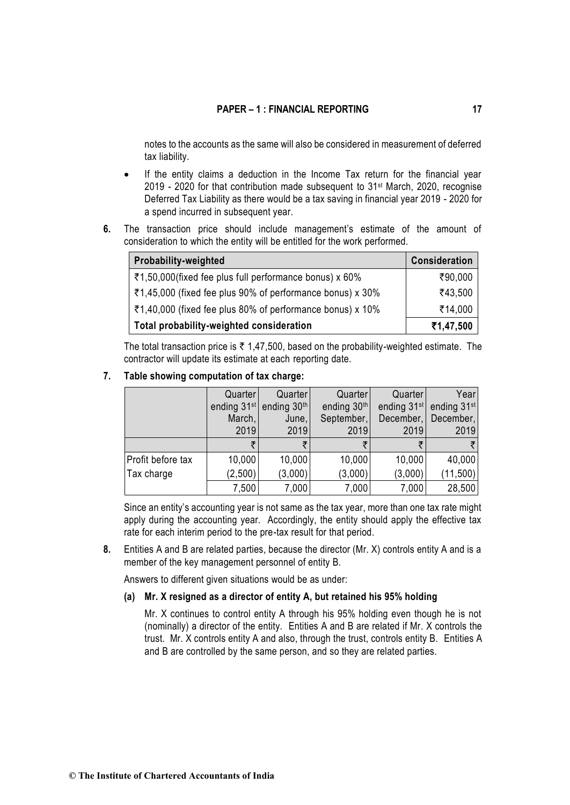notes to the accounts as the same will also be considered in measurement of deferred tax liability.

- If the entity claims a deduction in the Income Tax return for the financial year 2019 - 2020 for that contribution made subsequent to 31st March, 2020, recognise Deferred Tax Liability as there would be a tax saving in financial year 2019 - 2020 for a spend incurred in subsequent year.
- **6.** The transaction price should include management's estimate of the amount of consideration to which the entity will be entitled for the work performed.

| Probability-weighted                                      | Consideration |
|-----------------------------------------------------------|---------------|
| ₹1,50,000(fixed fee plus full performance bonus) x 60%    | ₹90,000       |
| ₹1,45,000 (fixed fee plus 90% of performance bonus) x 30% | ₹43,500       |
| ₹1,40,000 (fixed fee plus 80% of performance bonus) x 10% | ₹14,000       |
| Total probability-weighted consideration                  | ₹1,47,500     |

The total transaction price is  $\bar{\tau}$  1,47,500, based on the probability-weighted estimate. The contractor will update its estimate at each reporting date.

**7. Table showing computation of tax charge:**

|                   | Quarter                 | Quarter     | Quarter     | Quarter                 | Year                    |
|-------------------|-------------------------|-------------|-------------|-------------------------|-------------------------|
|                   | ending 31 <sup>st</sup> | ending 30th | ending 30th | ending 31 <sup>st</sup> | ending 31 <sup>st</sup> |
|                   | March,                  | June,       | September,  | December,               | December,               |
|                   | 2019                    | 2019        | 2019        | 2019                    | 2019                    |
|                   |                         |             |             |                         |                         |
| Profit before tax | 10,000                  | 10,000      | 10,000      | 10,000                  | 40,000                  |
| Tax charge        | (2,500)                 | (3,000)     | (3,000)     | (3,000)                 | (11, 500)               |
|                   | 7,500                   | 7,000       | 7,000       | 7,000                   | 28,500                  |

Since an entity's accounting year is not same as the tax year, more than one tax rate might apply during the accounting year. Accordingly, the entity should apply the effective tax rate for each interim period to the pre-tax result for that period.

**8.** Entities A and B are related parties, because the director (Mr. X) controls entity A and is a member of the key management personnel of entity B.

Answers to different given situations would be as under:

**(a) Mr. X resigned as a director of entity A, but retained his 95% holding**

Mr. X continues to control entity A through his 95% holding even though he is not (nominally) a director of the entity. Entities A and B are related if Mr. X controls the trust. Mr. X controls entity A and also, through the trust, controls entity B. Entities A and B are controlled by the same person, and so they are related parties.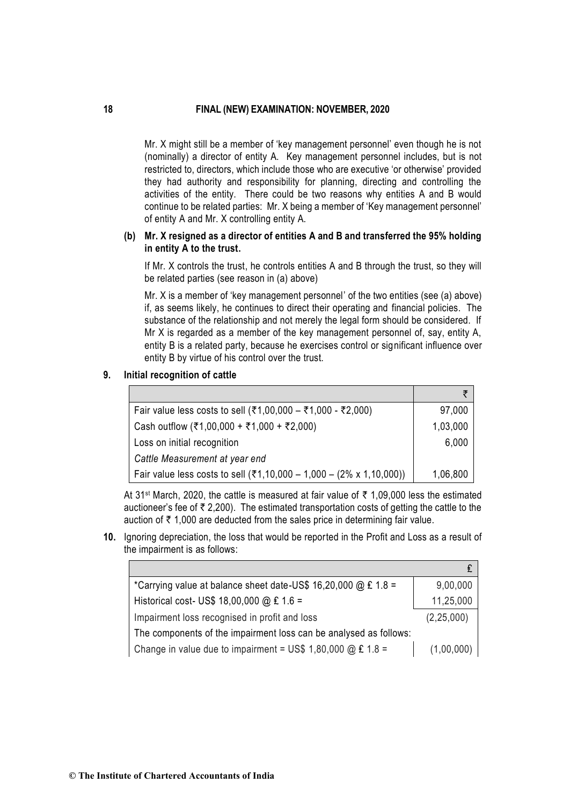Mr. X might still be a member of 'key management personnel' even though he is not (nominally) a director of entity A. Key management personnel includes, but is not restricted to, directors, which include those who are executive 'or otherwise' provided they had authority and responsibility for planning, directing and controlling the activities of the entity. There could be two reasons why entities A and B would continue to be related parties: Mr. X being a member of 'Key management personnel' of entity A and Mr. X controlling entity A.

## **(b) Mr. X resigned as a director of entities A and B and transferred the 95% holding in entity A to the trust.**

If Mr. X controls the trust, he controls entities A and B through the trust, so they will be related parties (see reason in (a) above)

Mr. X is a member of 'key management personnel' of the two entities (see (a) above) if, as seems likely, he continues to direct their operating and financial policies. The substance of the relationship and not merely the legal form should be considered. If Mr X is regarded as a member of the key management personnel of, say, entity A, entity B is a related party, because he exercises control or significant influence over entity B by virtue of his control over the trust.

### **9. Initial recognition of cattle**

| Fair value less costs to sell (₹1,00,000 – ₹1,000 - ₹2,000)         | 97,000   |
|---------------------------------------------------------------------|----------|
| Cash outflow (₹1,00,000 + ₹1,000 + ₹2,000)                          | 1,03,000 |
| Loss on initial recognition                                         | 6,000    |
| Cattle Measurement at year end                                      |          |
| Fair value less costs to sell (₹1,10,000 – 1,000 – (2% x 1,10,000)) | 1,06,800 |

At 31<sup>st</sup> March, 2020, the cattle is measured at fair value of  $\bar{\tau}$  1,09,000 less the estimated auctioneer's fee of  $\bar{\tau}$  2,200). The estimated transportation costs of getting the cattle to the auction of  $\bar{\tau}$  1,000 are deducted from the sales price in determining fair value.

**10.** Ignoring depreciation, the loss that would be reported in the Profit and Loss as a result of the impairment is as follows:

| *Carrying value at balance sheet date-US\$ 16,20,000 @ £ 1.8 =       | 9,00,000     |
|----------------------------------------------------------------------|--------------|
| Historical cost- US\$ 18,00,000 @ £ 1.6 =                            | 11,25,000    |
| Impairment loss recognised in profit and loss                        | (2, 25, 000) |
| The components of the impairment loss can be analysed as follows:    |              |
| Change in value due to impairment = US\$ 1,80,000 $@ \text{£} 1.8 =$ | (1,00,000)   |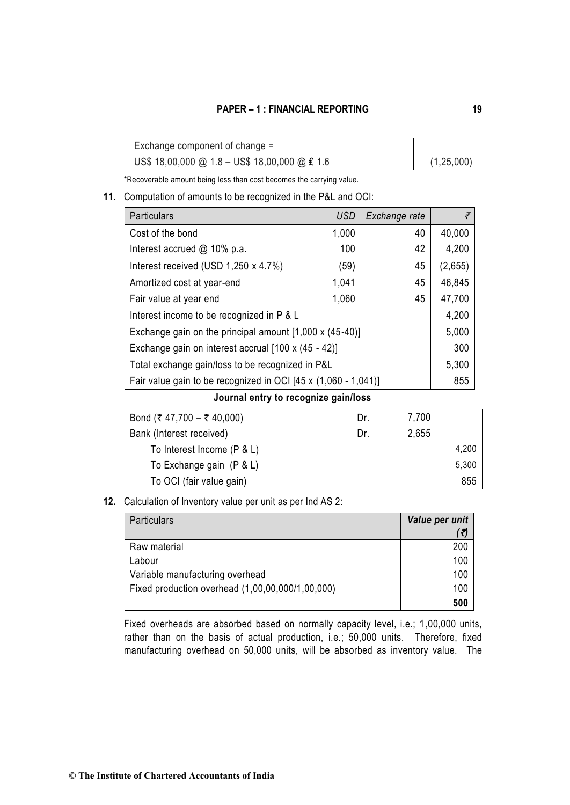| Exchange component of change =                |              |
|-----------------------------------------------|--------------|
| US\$ 18,00,000 @ 1.8 - US\$ 18,00,000 @ £ 1.6 | (1, 25, 000) |

\*Recoverable amount being less than cost becomes the carrying value.

## **11.** Computation of amounts to be recognized in the P&L and OCI:

| <b>Particulars</b>                                             | <b>USD</b> | Exchange rate | ₹       |
|----------------------------------------------------------------|------------|---------------|---------|
| Cost of the bond                                               | 1,000      | 40            | 40,000  |
| Interest accrued @ 10% p.a.                                    | 100        | 42            | 4,200   |
| Interest received (USD 1,250 x 4.7%)                           | (59)       | 45            | (2,655) |
| Amortized cost at year-end                                     | 1,041      | 45            | 46,845  |
| Fair value at year end                                         | 1,060      | 45            | 47,700  |
| Interest income to be recognized in P & L                      |            |               | 4,200   |
| Exchange gain on the principal amount [1,000 x (45-40)]        |            |               | 5,000   |
| Exchange gain on interest accrual [100 x (45 - 42)]            |            |               | 300     |
| Total exchange gain/loss to be recognized in P&L               |            |               | 5,300   |
| Fair value gain to be recognized in OCI [45 x (1,060 - 1,041)] |            |               | 855     |

**Journal entry to recognize gain/loss**

| Bond (₹ 47,700 – ₹ 40,000) | Dr. | 7,700 |       |
|----------------------------|-----|-------|-------|
| Bank (Interest received)   | Dr. | 2,655 |       |
| To Interest Income (P & L) |     |       | 4,200 |
| To Exchange gain (P & L)   |     |       | 5,300 |
| To OCI (fair value gain)   |     |       | 855   |

**12.** Calculation of Inventory value per unit as per Ind AS 2:

| <b>Particulars</b>                               | Value per unit |
|--------------------------------------------------|----------------|
|                                                  |                |
| Raw material                                     | 200            |
| Labour                                           | 100            |
| Variable manufacturing overhead                  | 100            |
| Fixed production overhead (1,00,00,000/1,00,000) | 100            |
|                                                  | 500            |

Fixed overheads are absorbed based on normally capacity level, i.e.; 1,00,000 units, rather than on the basis of actual production, i.e.; 50,000 units. Therefore, fixed manufacturing overhead on 50,000 units, will be absorbed as inventory value. The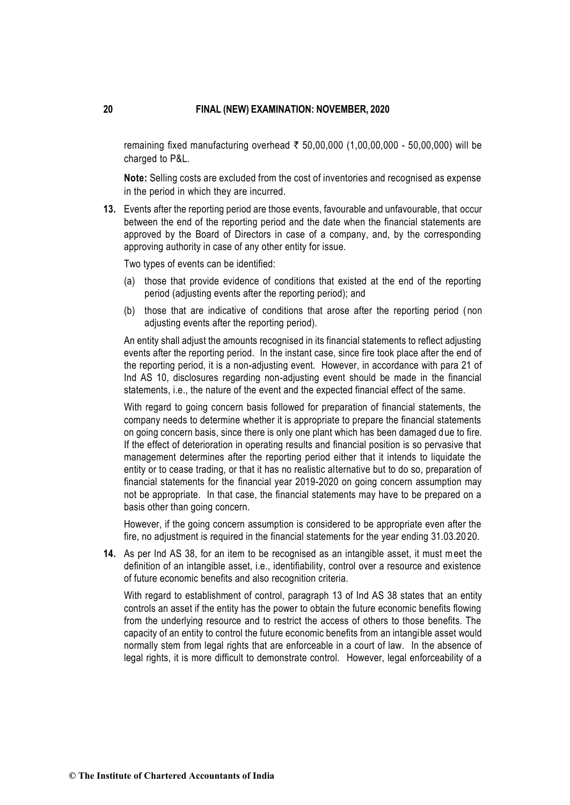remaining fixed manufacturing overhead  $\bar{\tau}$  50,00,000 (1,00,00,000 - 50,00,000) will be charged to P&L.

**Note:** Selling costs are excluded from the cost of inventories and recognised as expense in the period in which they are incurred.

**13.** Events after the reporting period are those events, favourable and unfavourable, that occur between the end of the reporting period and the date when the financial statements are approved by the Board of Directors in case of a company, and, by the corresponding approving authority in case of any other entity for issue.

Two types of events can be identified:

- (a) those that provide evidence of conditions that existed at the end of the reporting period (adjusting events after the reporting period); and
- (b) those that are indicative of conditions that arose after the reporting period ( non adjusting events after the reporting period).

An entity shall adjust the amounts recognised in its financial statements to reflect adjusting events after the reporting period. In the instant case, since fire took place after the end of the reporting period, it is a non-adjusting event. However, in accordance with para 21 of Ind AS 10, disclosures regarding non-adjusting event should be made in the financial statements, i.e., the nature of the event and the expected financial effect of the same.

With regard to going concern basis followed for preparation of financial statements, the company needs to determine whether it is appropriate to prepare the financial statements on going concern basis, since there is only one plant which has been damaged due to fire. If the effect of deterioration in operating results and financial position is so pervasive that management determines after the reporting period either that it intends to liquidate the entity or to cease trading, or that it has no realistic alternative but to do so, preparation of financial statements for the financial year 2019-2020 on going concern assumption may not be appropriate. In that case, the financial statements may have to be prepared on a basis other than going concern.

However, if the going concern assumption is considered to be appropriate even after the fire, no adjustment is required in the financial statements for the year ending 31.03.20 20.

**14.** As per Ind AS 38, for an item to be recognised as an intangible asset, it must meet the definition of an intangible asset, i.e., identifiability, control over a resource and existence of future economic benefits and also recognition criteria.

With regard to establishment of control, paragraph 13 of Ind AS 38 states that an entity controls an asset if the entity has the power to obtain the future economic benefits flowing from the underlying resource and to restrict the access of others to those benefits. The capacity of an entity to control the future economic benefits from an intangible asset would normally stem from legal rights that are enforceable in a court of law. In the absence of legal rights, it is more difficult to demonstrate control. However, legal enforceability of a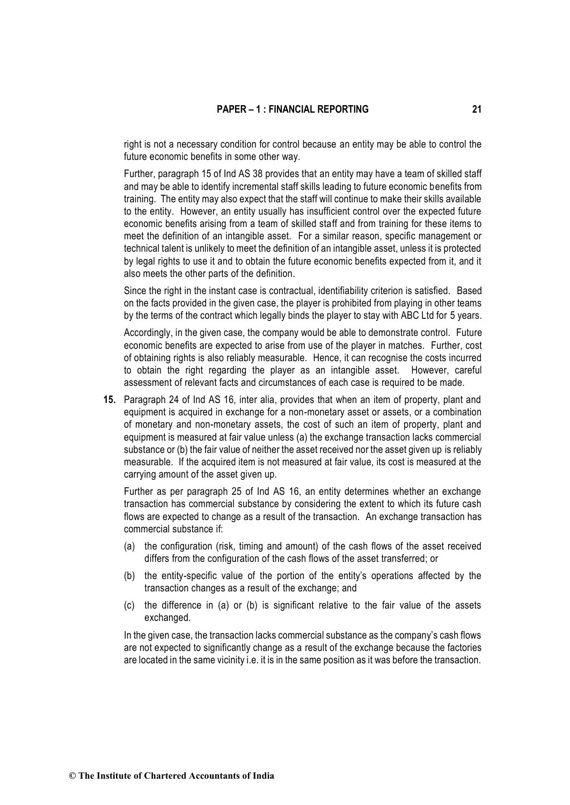right is not a necessary condition for control because an entity may be able to control the future economic benefits in some other way.

Further, paragraph 15 of Ind AS 38 provides that an entity may have a team of skilled staff and may be able to identify incremental staff skills leading to future economic benefits from training. The entity may also expect that the staff will continue to make their skills available to the entity. However, an entity usually has insufficient control over the expected future economic benefits arising from a team of skilled staff and from training for these items to meet the definition of an intangible asset. For a similar reason, specific management or technical talent is unlikely to meet the definition of an intangible asset, unless it is protected by legal rights to use it and to obtain the future economic benefits expected from it, and it also meets the other parts of the definition.

Since the right in the instant case is contractual, identifiability criterion is satisfied. Based on the facts provided in the given case, the player is prohibited from playing in other teams by the terms of the contract which legally binds the player to stay with ABC Ltd for 5 years.

Accordingly, in the given case, the company would be able to demonstrate control. Future economic benefits are expected to arise from use of the player in matches. Further, cost of obtaining rights is also reliably measurable. Hence, it can recognise the costs incurred to obtain the right regarding the player as an intangible asset. However, careful assessment of relevant facts and circumstances of each case is required to be made.

**15.** Paragraph 24 of Ind AS 16, inter alia, provides that when an item of property, plant and equipment is acquired in exchange for a non-monetary asset or assets, or a combination of monetary and non-monetary assets, the cost of such an item of property, plant and equipment is measured at fair value unless (a) the exchange transaction lacks commercial substance or (b) the fair value of neither the asset received nor the asset given up is reliably measurable. If the acquired item is not measured at fair value, its cost is measured at the carrying amount of the asset given up.

Further as per paragraph 25 of Ind AS 16, an entity determines whether an exchange transaction has commercial substance by considering the extent to which its future cash flows are expected to change as a result of the transaction. An exchange transaction has commercial substance if:

- (a) the configuration (risk, timing and amount) of the cash flows of the asset received differs from the configuration of the cash flows of the asset transferred; or
- (b) the entity-specific value of the portion of the entity's operations affected by the transaction changes as a result of the exchange; and
- (c) the difference in (a) or (b) is significant relative to the fair value of the assets exchanged.

In the given case, the transaction lacks commercial substance as the company's cash flows are not expected to significantly change as a result of the exchange because the factories are located in the same vicinity i.e. it is in the same position as it was before the transaction.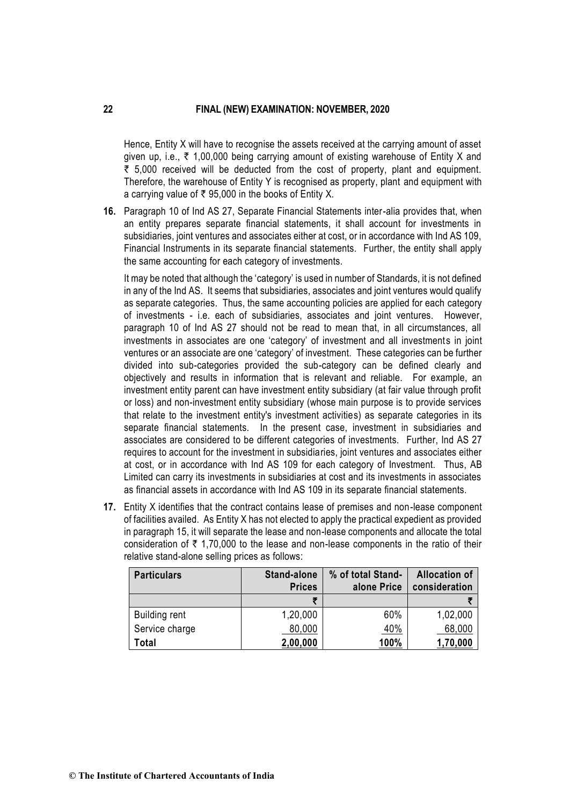Hence, Entity X will have to recognise the assets received at the carrying amount of asset given up, i.e.,  $\bar{\tau}$  1,00,000 being carrying amount of existing warehouse of Entity X and  $\bar{\tau}$  5,000 received will be deducted from the cost of property, plant and equipment. Therefore, the warehouse of Entity Y is recognised as property, plant and equipment with a carrying value of  $\bar{\tau}$  95,000 in the books of Entity X.

**16.** Paragraph 10 of Ind AS 27, Separate Financial Statements inter-alia provides that, when an entity prepares separate financial statements, it shall account for investments in subsidiaries, joint ventures and associates either at cost, or in accordance with Ind AS 109, Financial Instruments in its separate financial statements. Further, the entity shall apply the same accounting for each category of investments.

It may be noted that although the 'category' is used in number of Standards, it is not defined in any of the Ind AS. It seems that subsidiaries, associates and joint ventures would qualify as separate categories. Thus, the same accounting policies are applied for each category of investments - i.e. each of subsidiaries, associates and joint ventures. However, paragraph 10 of Ind AS 27 should not be read to mean that, in all circumstances, all investments in associates are one 'category' of investment and all investments in joint ventures or an associate are one 'category' of investment. These categories can be further divided into sub-categories provided the sub-category can be defined clearly and objectively and results in information that is relevant and reliable. For example, an investment entity parent can have investment entity subsidiary (at fair value through profit or loss) and non-investment entity subsidiary (whose main purpose is to provide services that relate to the investment entity's investment activities) as separate categories in its separate financial statements. In the present case, investment in subsidiaries and associates are considered to be different categories of investments. Further, Ind AS 27 requires to account for the investment in subsidiaries, joint ventures and associates either at cost, or in accordance with Ind AS 109 for each category of Investment. Thus, AB Limited can carry its investments in subsidiaries at cost and its investments in associates as financial assets in accordance with Ind AS 109 in its separate financial statements.

**17.** Entity X identifies that the contract contains lease of premises and non-lease component of facilities availed. As Entity X has not elected to apply the practical expedient as provided in paragraph 15, it will separate the lease and non-lease components and allocate the total consideration of  $\bar{\tau}$  1,70,000 to the lease and non-lease components in the ratio of their relative stand-alone selling prices as follows:

| <b>Particulars</b>   | <b>Stand-alone</b><br><b>Prices</b> | % of total Stand-<br>alone Price | <b>Allocation of</b><br>consideration |
|----------------------|-------------------------------------|----------------------------------|---------------------------------------|
|                      | Ŧ                                   |                                  |                                       |
| <b>Building rent</b> | 1,20,000                            | 60%                              | 1,02,000                              |
| Service charge       | 80,000                              | 40%                              | 68,000                                |
| Total                | 2,00,000                            | 100%                             | 1,70,000                              |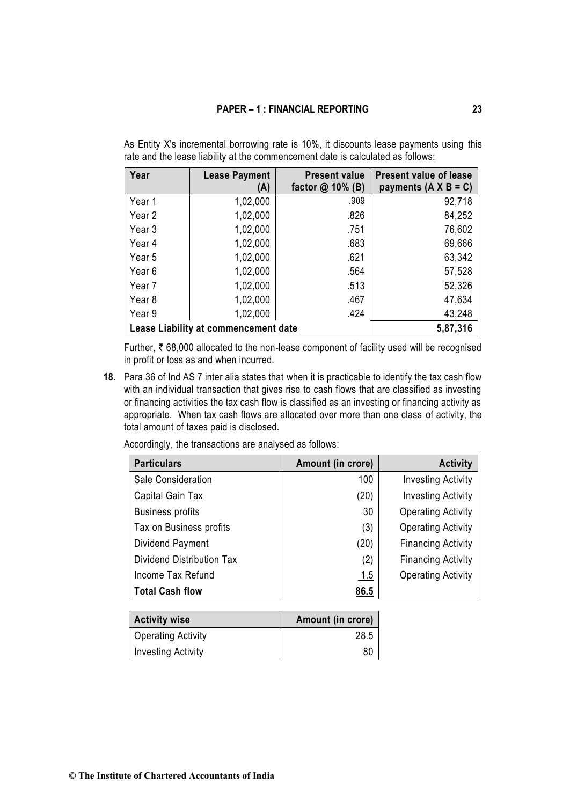| Year              | <b>Lease Payment</b><br>(A)          | <b>Present value</b><br>factor $@$ 10% (B) | <b>Present value of lease</b><br>payments $(A \times B = C)$ |
|-------------------|--------------------------------------|--------------------------------------------|--------------------------------------------------------------|
| Year 1            | 1,02,000                             | .909                                       | 92,718                                                       |
| Year 2            | 1,02,000                             | .826                                       | 84,252                                                       |
| Year 3            | 1,02,000                             | .751                                       | 76,602                                                       |
| Year 4            | 1,02,000                             | .683                                       | 69,666                                                       |
| Year 5            | 1,02,000                             | .621                                       | 63,342                                                       |
| Year <sub>6</sub> | 1,02,000                             | .564                                       | 57,528                                                       |
| Year 7            | 1,02,000                             | .513                                       | 52,326                                                       |
| Year <sub>8</sub> | 1,02,000                             | .467                                       | 47,634                                                       |
| Year 9            | 1,02,000                             | .424                                       | 43,248                                                       |
|                   | Lease Liability at commencement date |                                            | 5,87,316                                                     |

As Entity X's incremental borrowing rate is 10%, it discounts lease payments using this rate and the lease liability at the commencement date is calculated as follows:

Further,  $\bar{\tau}$  68,000 allocated to the non-lease component of facility used will be recognised in profit or loss as and when incurred.

**18.** Para 36 of Ind AS 7 inter alia states that when it is practicable to identify the tax cash flow with an individual transaction that gives rise to cash flows that are classified as investing or financing activities the tax cash flow is classified as an investing or financing activity as appropriate. When tax cash flows are allocated over more than one class of activity, the total amount of taxes paid is disclosed.

Accordingly, the transactions are analysed as follows:

| <b>Particulars</b>        | Amount (in crore) | <b>Activity</b>           |
|---------------------------|-------------------|---------------------------|
| Sale Consideration        | 100               | <b>Investing Activity</b> |
| Capital Gain Tax          | (20)              | <b>Investing Activity</b> |
| <b>Business profits</b>   | 30                | <b>Operating Activity</b> |
| Tax on Business profits   | (3)               | <b>Operating Activity</b> |
| Dividend Payment          | (20)              | <b>Financing Activity</b> |
| Dividend Distribution Tax | (2)               | <b>Financing Activity</b> |
| Income Tax Refund         | 1.5               | <b>Operating Activity</b> |
| <b>Total Cash flow</b>    | 86.5              |                           |

| <b>Activity wise</b>      | Amount (in crore) |
|---------------------------|-------------------|
| <b>Operating Activity</b> | 28.5              |
| <b>Investing Activity</b> | 80                |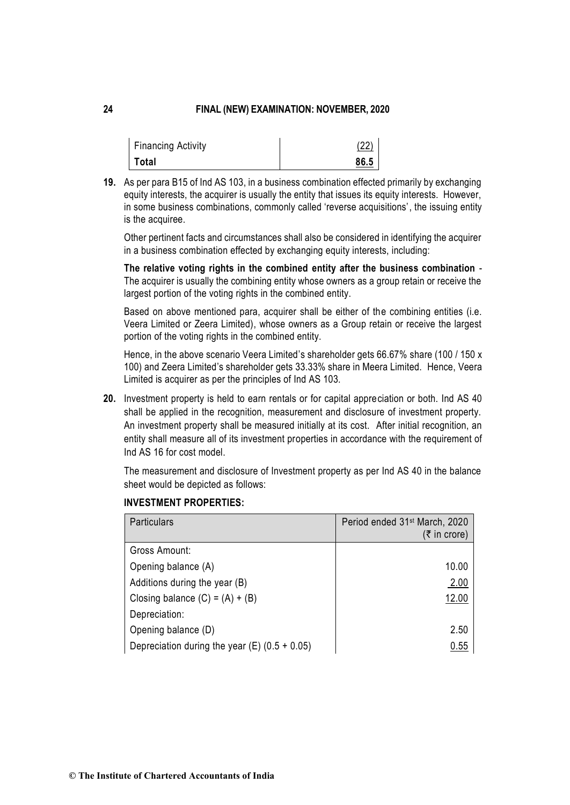| Financing Activity | (22) |
|--------------------|------|
| Total              | 86.5 |

**19.** As per para B15 of Ind AS 103, in a business combination effected primarily by exchanging equity interests, the acquirer is usually the entity that issues its equity interests. However, in some business combinations, commonly called 'reverse acquisitions', the issuing entity is the acquiree.

Other pertinent facts and circumstances shall also be considered in identifying the acquirer in a business combination effected by exchanging equity interests, including:

**The relative voting rights in the combined entity after the business combination** - The acquirer is usually the combining entity whose owners as a group retain or receive the largest portion of the voting rights in the combined entity.

Based on above mentioned para, acquirer shall be either of the combining entities (i.e. Veera Limited or Zeera Limited), whose owners as a Group retain or receive the largest portion of the voting rights in the combined entity.

Hence, in the above scenario Veera Limited's shareholder gets 66.67% share (100 / 150 x 100) and Zeera Limited's shareholder gets 33.33% share in Meera Limited. Hence, Veera Limited is acquirer as per the principles of Ind AS 103.

**20.** Investment property is held to earn rentals or for capital appreciation or both. Ind AS 40 shall be applied in the recognition, measurement and disclosure of investment property. An investment property shall be measured initially at its cost. After initial recognition, an entity shall measure all of its investment properties in accordance with the requirement of Ind AS 16 for cost model.

The measurement and disclosure of Investment property as per Ind AS 40 in the balance sheet would be depicted as follows:

| Particulars                                     | Period ended 31 <sup>st</sup> March, 2020<br>$(5$ in crore) |
|-------------------------------------------------|-------------------------------------------------------------|
| Gross Amount:                                   |                                                             |
| Opening balance (A)                             | 10.00                                                       |
| Additions during the year (B)                   | 2.00                                                        |
| Closing balance $(C) = (A) + (B)$               | 12.00                                                       |
| Depreciation:                                   |                                                             |
| Opening balance (D)                             | 2.50                                                        |
| Depreciation during the year (E) $(0.5 + 0.05)$ | 0.55                                                        |

### **INVESTMENT PROPERTIES:**